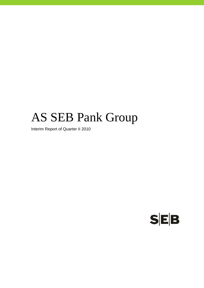# AS SEB Pank Group

Interim Report of Quarter II 2010

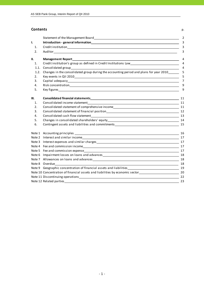#### **Contents** p.

|      | Statement of the Management Board Statement of the Management of the Management Board                                                                                                                                          | 2              |
|------|--------------------------------------------------------------------------------------------------------------------------------------------------------------------------------------------------------------------------------|----------------|
| I.   | Introduction - general information and the contract of the contract of the contract of the contract of the contract of the contract of the contract of the contract of the contract of the contract of the contract of the con | 3              |
| 1.   |                                                                                                                                                                                                                                | $\overline{3}$ |
| 2.   |                                                                                                                                                                                                                                | 3              |
| II.  | <b>Management Report</b>                                                                                                                                                                                                       | 4              |
| 1.   | Credit institution's group as defined in Credit Institutions Law___________________________________                                                                                                                            | 4              |
| 1.1. |                                                                                                                                                                                                                                | 4              |
| 1.2. | Changes in the consolidated group during the accounting period and plans for year 2010______                                                                                                                                   | 5              |
| 2.   |                                                                                                                                                                                                                                | 5              |
| 3.   |                                                                                                                                                                                                                                | 7              |
| 4.   |                                                                                                                                                                                                                                | 9              |
| 5.   |                                                                                                                                                                                                                                | 9              |
| Ш.   |                                                                                                                                                                                                                                |                |
| 1.   |                                                                                                                                                                                                                                |                |
| 2.   |                                                                                                                                                                                                                                |                |
| 3.   |                                                                                                                                                                                                                                |                |
| 4.   |                                                                                                                                                                                                                                |                |
| 5.   |                                                                                                                                                                                                                                |                |
| 6.   | Contingent assets and liabilities and commitments 15 and 15 and 15 and 15 and 15 and 15 and 15 and 15 and 15 and 15 and 15 and 15 and 15 and 16 and 16 and 16 and 16 and 16 and 16 and 16 and 16 and 16 and 16 and 16 and 16 a |                |
|      |                                                                                                                                                                                                                                | 16             |
|      |                                                                                                                                                                                                                                | 17             |
|      |                                                                                                                                                                                                                                | 17             |
|      |                                                                                                                                                                                                                                |                |
|      |                                                                                                                                                                                                                                |                |
|      |                                                                                                                                                                                                                                |                |
|      |                                                                                                                                                                                                                                | 18             |
|      | Note 8 Overdue                                                                                                                                                                                                                 | 18             |
|      | Note 9 Geographic concentration of financial assets and liabilities 10 19 19                                                                                                                                                   |                |
|      | Note 10 Concentration of financial assets and liabilities by economic sector__________________________________20                                                                                                               |                |
|      |                                                                                                                                                                                                                                |                |
|      |                                                                                                                                                                                                                                | 23             |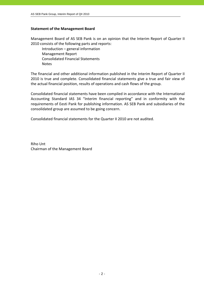# **Statement of the Management Board**

Management Board of AS SEB Pank is on an opinion that the Interim Report of Quarter II 2010 consists of the following parts and reports:

 Introduction – general information Management Report Consolidated Financial Statements **Notes** 

The financial and other additional information published in the Interim Report of Quarter II 2010 is true and complete. Consolidated financial statements give a true and fair view of the actual financial position, results of operations and cash flows of the group.

Consolidated financial statements have been compiled in accordance with the International Accounting Standard IAS 34 "Interim financial reporting" and in conformity with the requirements of Eesti Pank for publishing information. AS SEB Pank and subsidiaries of the consolidated group are assumed to be going concern.

Consolidated financial statements for the Quarter II 2010 are not audited.

Riho Unt Chairman of the Management Board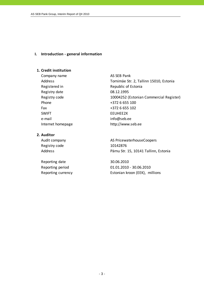#### **I. Introduction ‐ general information**

#### **1. Credit institution**

Company name AS SEB Pank Registry date 08.12.1995 Phone  $+3726655100$ Fax  $+3726655102$ SWIFT SWIFT ENGINEERING THE STREET e-mail info@seb.ee

## **2. Auditor**

Registry code 10142876

Reporting date 30.06.2010

Address Tornimäe Str. 2, Tallinn 15010, Estonia Registered in Republic of Estonia Registry code 10004252 (Estonian Commercial Register) Internet homepage http://www.seb.ee

Audit company and all the AS PricewaterhouseCoopers Address **Pärnu Str. 15, 10141 Tallinn, Estonia** 

Reporting period 01.01.2010 ‐ 30.06.2010 Reporting currency **Estonian kroon (EEK)**, millions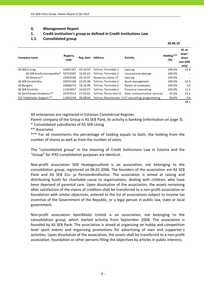# **II. Management Report**

# **1. Credit institution's group as defined in Credit Institutions Law**

# **1.1. Consolidated group**

 $\frac{30.06.10}{10}$ 

| Company name                 | Registry<br>code | Reg. date | <b>Address</b>        | <b>Activity</b>                                    | Holding***<br>(%) | At an<br>acqui-<br>sition<br>cost (EEK<br>mio) |
|------------------------------|------------------|-----------|-----------------------|----------------------------------------------------|-------------------|------------------------------------------------|
| AS SEB Liising               | 10281767         | 03.10.97  | Tallinn, Tornimäe 2   | Leasing                                            | 100.0%            | 23.4                                           |
| AS SEB Kindlustusmaakler*    | 10723587         | 16.01.01  | Tallinn, Tornimäe 2   | Insurance brokerage                                | 100.0%            |                                                |
| AS Rentacar*                 | 10303546         | 20.10.97  | Haapsalu, Karja 27    | Leasing                                            | 100.0%            | ٠                                              |
| AS SEB Varahaldus            | 10035169         | 22.05.96  | Tallinn, Tornimäe 2   | Asset management                                   | 100.0%            | 42.5                                           |
| AS Bangalo                   | 10088272         | 18.10.96  | Tallinn, Tornimäe 2   | Rental of computers                                | 100.0%            | 5.0                                            |
| AS SEB Enskilda              | 11354037         | 16.02.07  | Tallinn, Tornimäe 2   | Financial consulting                               | 100.0%            | 11.5                                           |
| AS Sertifits eerimiskeskus** | 10747013         | 27.03.01  | Tallinn, Pärnu mnt 12 | Data communication services                        | 25.0%             | 15.1                                           |
| OÜ TietoEnator Support **    | 11065244         | 30.08.04  |                       | Tallinn, Roosikrantsi 11IT consulting, programming | 20.0%             | 0.6                                            |
|                              |                  |           |                       |                                                    |                   | 98.1                                           |

All enterprises are registered in Estonian Commercial Register.

Parent company of the Group is AS SEB Pank, its activity is banking (information on page 3).

\* Consolidated subsidiaries of AS SEB Liising

\*\* Associates

\*\*\* For all investments the percentage of holding equals to both, the holding from the number of shares as well as from the number of votes.

The "consolidated group" in the meaning of Credit Institutions Law in Estonia and the "Group" for IFRS consolidation purposes are identical.

Non‐profit association SEB Heategevusfond is an association, not belonging to the consolidation group, registered on 06.01.2006. The founders of the association are AS SEB Pank and AS SEB Elu- ja Pensionikindlustus. The association is aimed at raising and distributing funds for charitable cause to organisations, dealing with children, who have been deprived of parental care. Upon dissolution of the association, the assets remaining after satisfaction of the claims of creditors shall be transferred to a non‐profit association or foundation with similar objectives, entered to the list of associations subject to income tax incentive of the Government of the Republic, or a legal person in public law, state or local government.

Non‐profit association Spordiklubi United is an association, not belonging to the consolidation group, which started activitiy from September 2008. The association is founded by AS SEB Pank. The association is aimed at organising on hobby and competition level sport events and organising promotions for advertising of own and supporter´s activities. Upon dissolution of the association, the assets shall be transferred to a non‐profit association, foundation or other persons filling the objectives by articles in public interests.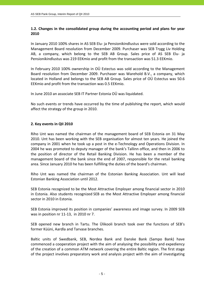# **1.2. Changes in the consolidated group during the accounting period and plans for year 2010**

In January 2010 100% shares in AS SEB Elu‐ ja Pensionikindlustus were sold according to the Management Board resolution from December 2009. Purchaser was SEB Trygg Liv Holding AB, a company, which belong to the SEB AB Group. Sales price of AS SEB Elu‐ ja Pensionikindlustus was 219 EEKmio and profit from the transaction was 51.3 EEKmio.

In February 2010 100% ownership in OÜ Estectus was sold according to the Management Board resolution from December 2009. Purchaser was Warehold B.V., a company, which located in Holland and belongs to the SEB AB Group. Sales price of OÜ Estectus was 50.6 EEKmio and profit from the transaction was 0.5 EEKmio.

In June 2010 an associate SEB IT Partner Estonia OÜ was liquidated.

No such events or trends have occurred by the time of publishing the report, which would affect the strategy of the group in 2010.

# **2. Key events in QII 2010**

Riho Unt was named the chairman of the management board of SEB Estonia on 31 May 2010. Unt has been working with the SEB organisation for almost ten years. He joined the company in 2001 when he took up a post in the e‐Technology and Operations Division. In 2004 he was promoted to deputy manager of the bank's Tallinn office, and then in 2006 to the position of director of the Retail Banking Division. He has been a member of the management board of the bank since the end of 2007, responsible for the retail banking area. Since January 2010 he has been fulfilling the duties of the board's chairman.

Riho Unt was named the chairman of the Estonian Banking Association. Unt will lead Estonian Banking Association until 2012.

SEB Estonia recognized to be the Most Attractive Employer among financial sector in 2010 in Estonia. Also students recognized SEB as the Most Attractive Employer among financial sector in 2010 in Estonia.

SEB Estonia improved its position in companies' awareness and image survey. In 2009 SEB was in position nr 11‐13, in 2010 nr 7.

SEB opened new branch in Tartu. The Ülikooli branch took over the functions of SEB's former Küüni, Aardla and Tarvase branches.

Baltic units of Swedbank, SEB, Nordea Bank and Danske Bank (Sampo Bank) have commenced a cooperation project with the aim of analysing the possibility and expediency of the creation of a common ATM network covering the entire Baltic region. The first stage of the project involves preparatory work and analysis project with the aim of investigating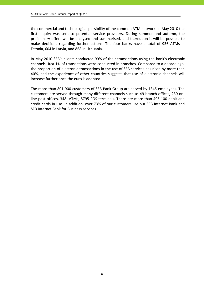the commercial and technological possibility of the common ATM network. In May 2010 the first inquiry was sent to potential service providers. During summer and autumn, the preliminary offers will be analysed and summarised, and thereupon it will be possible to make decisions regarding further actions. The four banks have a total of 936 ATMs in Estonia, 604 in Latvia, and 868 in Lithuania.

In May 2010 SEB's clients conducted 99% of their transactions using the bank's electronic channels. Just 1% of transactions were conducted in branches. Compared to a decade ago, the proportion of electronic transactions in the use of SEB services has risen by more than 40%, and the experience of other countries suggests that use of electronic channels will increase further once the euro is adopted.

The more than 801 900 customers of SEB Pank Group are served by 1345 employees. The customers are served through many different channels such as 49 branch offices, 230 on‐ line post offices, 348 ATMs, 5795 POS‐terminals. There are more than 496 100 debit and credit cards in use. In addition, over 73% of our customers use our SEB Internet Bank and SEB Internet Bank for Business services.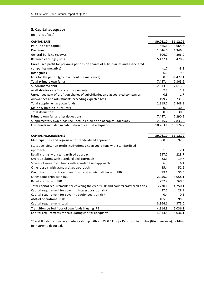# **3. Capital adequacy**

(millions of EEK)

| <b>CAPITAL BASE</b>                                                                  | 30.06.10 | 31.12.09   |
|--------------------------------------------------------------------------------------|----------|------------|
| Paid-in share capital                                                                | 665.6    | 665.6      |
| Premium                                                                              | 1,346.6  | 1,346.6    |
| General banking reserves                                                             | 306.0    | 306.0      |
| Retained earnings / loss                                                             | 5,137.4  | 6,428.2    |
| Unrealised profit for previous periods on shares of subsidiaries and associated      |          |            |
| companies (negative)                                                                 | $-1.7$   | $-3.8$     |
| Intangibles                                                                          | $-6.6$   | $-9.6$     |
| Loss for the period (group without life insurance)                                   | 0.0      | $-1,427.1$ |
| Total primary own funds                                                              | 7,447.4  | 7,305.9    |
| Subordinated debt                                                                    | 2,613.0  | 2,613.0    |
| Available for sale financial instruments                                             | 2.3      | 2.9        |
| Unrealised part of profit on shares of subsidiaries and associated companies         | 0.8      | 1.7        |
| Allowances and adjustments exceeding expected loss                                   | 199.7    | 231.2      |
| Total supplementary own funds                                                        | 2,815.7  | 2,848.8    |
| Majority holding in insurers                                                         | 0.0      | 30.0       |
| Total deductions                                                                     | 0.0      | 30.0       |
| Primary own funds after deductions                                                   | 7,447.4  | 7,290.9    |
| Supplementary own funds included in calculation of capital adequacy                  | 2,815.7  | 2,833.8    |
| Own funds included in calculation of capital adequacy                                | 10,263.1 | 10,124.7   |
|                                                                                      |          |            |
| <b>CAPITAL REQUIREMENTS</b>                                                          | 30.06.10 | 31.12.09   |
| Municipalities and regions with standardised approach                                | 88.0     | 92.0       |
| State agencies, non-profit institutions and associations with standardised           |          |            |
| approach                                                                             | 1.9      | 2.1        |
| Retail claims with standardised approach                                             | 237.2    | 223.7      |
| Overdue claims with standardised approach                                            | 23.3     | 19.7       |
| Shares of investment funds with standardised approach                                | 6.3      | 6.1        |
| Other assets with standardised approach                                              | 45.4     | 52.6       |
| Credit institutions, investment firms and municipalities with IRB                    | 79.1     | 35.5       |
| Other companies with IRB                                                             | 2,456.2  | 3,058.1    |
| Retail claims with IRB                                                               | 792.7    | 760.3      |
| Total capital requirements for covering the credit risk and counterparty credit risk | 3,730.1  | 4,250.1    |
| Capital requirement for covering interest position risk                              | 27.7     | 28.9       |
| Capital requirement for covering equity position risk                                | 0.4      | 0.5        |
| AMA of operational risk                                                              | 105.9    | 95.5       |
| Capital requirements total                                                           | 3,864.1  | 4,375.0    |
| Transition period floor of own funds if using IRB                                    | 4,814.8  | 5,036.1    |
| Capital requirements for calculating capital adequacy                                | 4,814.8  | 5,036.1    |

\*Basel II calculations are made for Group without AS SEB Elu‐ ja Pensionikindlustus (li fe insurance), holding in insurer is deducted.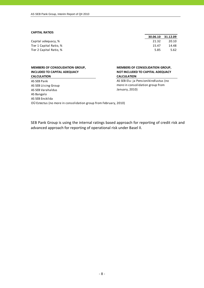#### **CAPITAL RATIOS**

| Capital adequacy, %     | 21.32 | 20.10 |
|-------------------------|-------|-------|
| Tier 1 Capital Ratio, % | 15.47 | 14.48 |
| Tier 2 Capital Ratio, % | 5.85  | 5.62  |

#### **MEMBERS OF CONSOLIDATION GROUP, INCLUDED TO CAPITAL ADEQUACY CALCULATION**

#### AS SEB Pank AS SEB Liising Group AS SEB Varahaldus AS Bangalo AS SEB Enskilda OÜ Estectus (no more in consolidation group from February, 2010)

| 30.06.10 | 31.12.09 |
|----------|----------|
| 21.32    | 20.10    |
| 15.47    | 14.48    |
| 5.85     | 5.62     |

#### **MEMBERS OF CONSOLIDATION GROUP, NOT INCLUDED TO CAPITAL ADEQUACY CALCULATION**

AS SEB Elu‐ ja Pensionikindlustus (no more in consolidation group from January, 2010)

SEB Pank Group is using the internal ratings based approach for reporting of credit risk and advanced approach for reporting of operational risk under Basel II.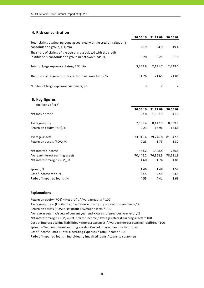# **4. Risk concentration**

|                                                                                                                         | 30.06.10 | 31.12.09 | 30.06.09 |
|-------------------------------------------------------------------------------------------------------------------------|----------|----------|----------|
| Total claims against persons associated with the credit institution's<br>consolidation group, EEK mio                   | 20.9     | 24.9     | 19.4     |
| The share of claims of the persons associated with the credit<br>institution's consolidation group in net own funds, %, | 0.20     | 0.25     | 0.18     |
| Total of large exposure claims, EEK mio                                                                                 | 3.259.9  | 2.191.7  | 2,349.1  |
| The share of large exposure claims in net own funds, %                                                                  | 31.76    | 21.65    | 21.86    |
| Number of large exposure customers, pcs                                                                                 | 3        |          |          |

**5. Key figures**

| (millions of EEK)               |          |            |          |
|---------------------------------|----------|------------|----------|
|                                 | 30.06.10 | 31.12.09   | 30.06.09 |
| Net loss / profit               | 83.8     | $-1,381.9$ | $-541.8$ |
| Average equity                  | 7,505.4  | 8,147.7    | 8,559.7  |
| Return on equity (ROE), %       | 2.23     | $-16.96$   | $-12.66$ |
| Average assets                  | 73,016.4 | 79,746.8   | 81,842.6 |
| Return on assets (ROA), %       | 0.23     | $-1.73$    | $-1.32$  |
| Net interest income             | 563.2    | 1,328.4    | 730.8    |
| Average interest earning assets | 70,446.2 | 76,362.3   | 78,531.9 |
| Net interest margin (NIM), %    | 1.60     | 1.74       | 1.86     |
| Spread, %                       | 1.46     | 1.48       | 1.52     |
| Cost / Income ratio, %          | 53.5     | 72.5       | 83.5     |
| Ratio of impaired loans, %      | 4.55     | 4.41       | 2.66     |

#### **Explanations**

Return on equity (ROE) = Net profit / Average equity \* 100 Average equity = (Equity of current year end + Equity of previous year end) / 2 Return on assets (ROA) = Net profit / Average assets \* 100 Average assets = (Assets of current year end + Assets of previous year end) / 2 Cost of interest bearing liabilities = Interest expenses / Average interest bearing liabilities \*100 Cost / Income Ratio = Total Operating Expenses / Total Income \* 100 Spread = Yield on interest earning assets ‐ Cost of interest bearing liabilities Ratio of impaired loans = Individually impaired loans / Loans to customers Net interest margin (NIM) = Net interest income / Average interest earning assets \* 100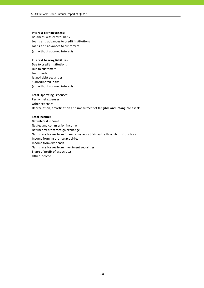#### **Interest earning assets:**

Balances with central bank Loans and advances to credit institutions (all without accrued interests) Loans and advances to customers

#### **Interest bearing liabilities:**

Due to credit institutions Due to customers Loan funds Issued debt securities Subordinated loans (all without accrued interests)

#### **Total Operating Expenses:**

Personnel expenses Other expenses Depreciation, amortisation and impairment of tangible and intangible assets

#### **Total Income:**

Net interest income Net fee and commission income Net income from foreign exchange Gains less losses from financial assets at fair value through profit or loss Income from insurance activities Income from dividends Gains less losses from investment securities Share of profit of associates Other income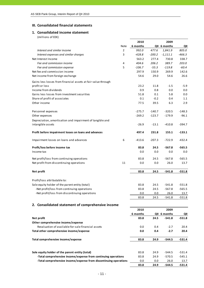## **III. Consolidated financial statements**

# **1. Consolidated income statement**

|                                                                   |      | 2010     |          | 2009         |                 |
|-------------------------------------------------------------------|------|----------|----------|--------------|-----------------|
|                                                                   | Note | 6 months |          | QII 6 months | QII             |
| Interest and similar income                                       | 2    | 992.0    | 477.6    | 1,841.9      | 805.0           |
| Interest expenses and similar charges                             | 3    | $-428.8$ | $-200.2$ | $-1,111.1$   | $-466.3$        |
| Net Interest Income                                               |      | 563.2    | 277.4    | 730.8        | 338.7           |
| Fee and commission income                                         | 4    | 404.6    | 206.2    | 389.7        | 203.0           |
| Fee and commission expense                                        | 5    | $-106.7$ | $-55.3$  | $-119.8$     | $-60.4$         |
| Net fee and commission income                                     |      | 297.9    | 150.9    | 269.9        | 142.6           |
| Net income from foreign exchange                                  |      | 54.6     | 29.0     | 54.6         | 26.6            |
| Gains less losses from financial assets at fair value through     |      |          |          |              |                 |
| profit or loss                                                    |      | 23.2     | 11.8     | $-1.5$       | $-5.9$          |
| Income from dividends                                             |      | 0.9      | 0.8      | 0.0          | 0.0             |
| Gains less losses from investment securities                      |      | 51.8     | 0.1      | 5.8          | 0.0             |
| Share of profit of associates                                     |      | 0.1      | $-0.2$   | 0.4          | 1.1             |
| Other income                                                      |      | 77.5     | 39.5     | 6.3          | 2.9             |
|                                                                   |      |          |          |              |                 |
| Personnel expenses                                                |      | $-275.7$ | $-140.7$ | $-320.5$     | $-148.3$        |
| Other expenses                                                    |      | $-269.2$ | $-123.7$ | $-179.9$     | $-96.1$         |
| Depreciation, amortisation and impairment of tangible and         |      |          |          |              |                 |
| intangible assets                                                 |      | $-26.9$  | $-13.1$  | $-410.8$     | $-394.7$        |
|                                                                   |      |          |          |              |                 |
| Profit before impairment losses on loans and advances             |      | 497.4    | 231.8    | 155.1        | $-133.1$        |
|                                                                   |      |          |          |              |                 |
| Impairment losses on loans and advances                           | 6    | $-413.6$ | $-207.3$ | $-722.9$     | $-432.4$        |
| Profit/loss before income tax                                     |      | 83.8     | 24.5     | $-567.8$     | $-565.5$        |
| Income tax                                                        |      | 0.0      | 0.0      | 0.0          | 0.0             |
|                                                                   |      |          |          |              |                 |
| Net profit/loss from continuing operations                        |      | 83.8     | 24.5     | $-567.8$     | $-565.5$        |
| Net profit from discontinuing operations                          | 11   | 0.0      | 0.0      | 26.0         | 13.7            |
|                                                                   |      |          |          |              |                 |
| Net profit                                                        |      | 83.8     | 24.5     | $-541.8$     | $-551.8$        |
|                                                                   |      |          |          |              |                 |
| Profit/loss attributable to:                                      |      |          |          |              |                 |
| Sole equity holder of the parent entity (total)                   |      | 83.8     | 24.5     | $-541.8$     | $-551.8$        |
| -Net profit/loss from continuing operations                       |      | 83.8     | 24.5     | $-567.8$     | $-565.5$        |
| -Net profit/loss from discontinuing operations                    |      | 0.0      | 0.0      | 26.0         | 13.7            |
|                                                                   |      | 83.8     | 24.5     | $-541.8$     | $-551.8$        |
| 2. Consolidated statement of comprehensive income                 |      |          |          |              |                 |
|                                                                   |      | 2010     |          | 2009         |                 |
|                                                                   |      | 6 months |          | QII 6 months |                 |
| Net profit                                                        |      | 83.8     | 24.5     | $-541.8$     | QII<br>$-551.8$ |
| Other comprehensive income/expense                                |      |          |          |              |                 |
| Revaluation of available-for-sale financial assets                |      | 0.0      | 0.4      | $-2.7$       | 20.4            |
|                                                                   |      |          |          |              |                 |
| Total other comprehensive income/expense                          |      | 0.0      | 0.4      | $-2.7$       | 20.4            |
|                                                                   |      |          |          |              |                 |
| Total comprehensive income/expense                                |      | 83.8     | 24.9     | $-544.5$     | $-531.4$        |
|                                                                   |      |          |          |              |                 |
| Sole equity holder of the parent entity (total)                   |      | 83.8     | 24.9     | -544.5       | $-531.4$        |
| -Total comprehensive income/expense from continuing operations    |      | 83.8     | 24.9     | $-570.5$     | $-545.1$        |
| -Total comprehensive income/expense from discontinuing operations |      | 0.0      | 0.0      | 26.0         | 13.7            |
|                                                                   |      | 83.8     | 24.9     | -544.5       | $-531.4$        |
|                                                                   |      |          |          |              |                 |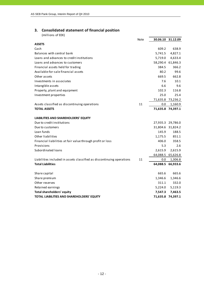# **3. Consolidated statement of financial position**

|                                                                       | <b>Note</b> |          | 30.06.10 31.12.09 |
|-----------------------------------------------------------------------|-------------|----------|-------------------|
| <b>ASSETS</b>                                                         |             |          |                   |
| Cash                                                                  |             | 609.2    | 638.9             |
| Balances with central bank                                            |             | 5,741.5  | 4,827.1           |
| Loans and advances to credit institutions                             |             | 5,719.0  | 4,633.4           |
| Loans and advances to customers                                       |             |          | 58,290.4 61,846.3 |
| Financial assets held for trading                                     |             | 384.5    | 366.2             |
| Available-for-sale financial assets                                   |             | 80.2     | 99.6              |
| Other assets                                                          |             | 669.5    | 662.8             |
| Investments in associates                                             |             | 7.6      | 10.1              |
| Intangible assets                                                     |             | 6.6      | 9.6               |
| Property, plant and equipment                                         |             | 102.3    | 116.8             |
| Investment properties                                                 |             | 25.0     | 25.4              |
|                                                                       |             |          | 71,635.8 73,236.2 |
| Assets classified as discontinuing operations                         | 11          | 0.0      | 1,160.9           |
| <b>TOTAL ASSETS</b>                                                   |             |          | 71,635.8 74,397.1 |
| LIABILITIES AND SHAREHOLDERS' EQUITY                                  |             |          |                   |
| Due to credit institutions                                            |             |          | 27,935.3 29,786.0 |
| Due to customers                                                      |             |          | 31,804.6 31,824.2 |
| Loan funds                                                            |             | 145.9    | 188.5             |
| Other liabilities                                                     |             | 1,175.5  | 851.1             |
| Financial liabilities at fair value through profit or loss            |             | 406.0    | 358.5             |
| Provisions                                                            |             | 5.3      | 2.6               |
| Subordinated loans                                                    |             | 2,615.9  | 2,615.9           |
|                                                                       |             | 64,088.5 | 65,626.8          |
| Liabilities included in assets classified as discontinuing operations | 11          | 0.0      | 1,306.8           |
| <b>Total Liabilities</b>                                              |             |          | 64,088.5 66,933.6 |
|                                                                       |             |          |                   |
| Share capital                                                         |             | 665.6    | 665.6             |
| Share premium                                                         |             | 1,346.6  | 1,346.6           |
| Other reserves                                                        |             | 311.1    | 332.0             |
| Retained earnings                                                     |             | 5,224.0  | 5,119.3           |
| <b>Total shareholders' equity</b>                                     |             | 7,547.3  | 7,463.5           |
| TOTAL LIABILITIES AND SHAREHOLDERS' EQUITY                            |             | 71,635.8 | 74,397.1          |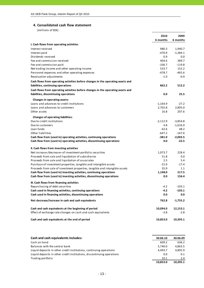# **4. Consolidated cash flow statement**

|                                                                                                                       | 2010<br>6 months      | 2009<br>6 months   |
|-----------------------------------------------------------------------------------------------------------------------|-----------------------|--------------------|
| I. Cash flows from operating activities                                                                               |                       |                    |
| Interest received                                                                                                     | 980.3                 | 1,940.7            |
| Interest paid                                                                                                         | $-470.9$              | $-1,384.1$         |
| Dividends received                                                                                                    | 0.9                   | 0.0                |
| Fee and commission received                                                                                           | 404.6                 | 389.7              |
| Fee and commission paid                                                                                               | $-106.7$              | $-119.8$           |
| Net trading income and other operating income                                                                         | 533.7                 | 152.2              |
| Personnel expenses and other operating expenses                                                                       | $-478.7$              | $-465.6$           |
| Revaluation adjustments                                                                                               | $-1.0$                | $-0.9$             |
| Cash flows from operating activities before changes in the operating assets and<br>liabilities, continuing operations | 862.2                 | 512.2              |
| Cash flows from operating activities before changes in the operating assets and                                       |                       |                    |
| liabilities, discontinuing operations                                                                                 | 0.0                   | 25.5               |
|                                                                                                                       |                       |                    |
| Changes in operating assets:<br>Loans and advances to credit institutions                                             |                       |                    |
| Loans and advances to customers                                                                                       | $-1,164.9$<br>2,702.8 | $-27.2$<br>2,895.0 |
| Other assets                                                                                                          | 16.8                  | 207.6              |
|                                                                                                                       |                       |                    |
| <b>Changes of operating liabilities:</b>                                                                              |                       |                    |
| Due to credit institutions                                                                                            | $-2,112.9$            | $-3,854.8$         |
| Due to customers                                                                                                      | 4.8                   | $-1,616.9$         |
| Loan funds                                                                                                            | $-42.6$               | 48.2               |
| Other liabilities                                                                                                     | $-647.2$              | $-167.6$           |
| Cash flow from (used in) operating activities, continuing operations                                                  | $-381.0$              | $-2,003.5$         |
| Cash flow from (used in) operating activities, discontinuing operations                                               | 0.0                   | $-22.5$            |
| II. Cash flows from investing activities                                                                              |                       |                    |
| Net increase-/decrease+ of investment portfolio securities                                                            | 1,073.7               | 228.4              |
| Proceeds from sale and liquidation of subsidiaries                                                                    | 51.8                  | 0.0                |
| Proceeds from sale and liquidation of associates                                                                      | 2.5                   | 5.4                |
| Purchase of investment properties, tangible and intangible assets                                                     | $-15.9$               | $-17.4$            |
| Proceeds from sale of investment properties, tangible and intangible assets                                           | 35.9                  | 1.1                |
| Cash flow from (used in) investing activities, continuing operations                                                  | 1,148.0               | 217.5              |
| Cash flow from (used in) investing activities, discontinuing operations                                               | 0.0                   | 156.4              |
| III. Cash flows from financing activities                                                                             |                       |                    |
| Repurchasing of debt securities                                                                                       | $-4.2$                | $-103.1$           |
| Cash used in financing activities, continuing operations                                                              | -4.2                  | $-103.1$           |
| Cash used in financing activities, discontinuing operations                                                           | 0.0                   | 0.0                |
| Net decrease/increase in cash and cash equivalents                                                                    | 762.8                 | $-1,755.2$         |
| Cash and cash equivalents at the beginning of period                                                                  | 10,094.0              | 12,153.1           |
| Effect of exchange rate changes on cash and cash equivalents                                                          | $-3.8$                | $-2.8$             |
| Cash and cash equivalents at the end of period                                                                        | 10,853.0              | 10,395.1           |
|                                                                                                                       |                       |                    |

| Cash and cash equivalents includes:                                    | 30.06.10 | 30.06.09 |
|------------------------------------------------------------------------|----------|----------|
| Cash on hand                                                           | 609.2    | 636.2    |
| Balances with the central bank                                         | 5,740.0  | 4,863.5  |
| Liquid deposits in other credit institutions, continuing operations    | 4.493.7  | 4.892.9  |
| Liquid deposits in other credit institutions, discontinuing operations | 0.0      | 0.1      |
| Trading portfolio                                                      | 10.1     | 2.4      |
|                                                                        | 10.853.0 | 10.395.1 |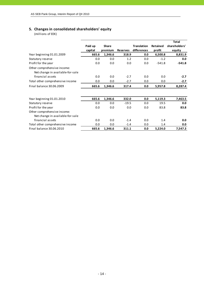# **5. Changes in consolidated shareholders' equity**

|                                                                 |         |              |                 |                    |                 | <b>Total</b>  |
|-----------------------------------------------------------------|---------|--------------|-----------------|--------------------|-----------------|---------------|
|                                                                 | Paid up | <b>Share</b> |                 | <b>Translation</b> | <b>Retained</b> | shareholders' |
|                                                                 | capital | premium      | <b>Reserves</b> | differences        | profit          | equity        |
| Year beginning 01.01.2009                                       | 665.6   | 1,346.6      | 318.9           | 0.0                | 6,500.8         | 8,831.9       |
| Statutory reserve                                               | 0.0     | 0.0          | 1.2             | 0.0                | $-1.2$          | 0.0           |
| Profit for the year                                             | 0.0     | 0.0          | 0.0             | 0.0                | $-541.8$        | $-541.8$      |
| Other comprehensive income:<br>Net change in available-for-sale |         |              |                 |                    |                 |               |
| financial assets                                                | 0.0     | 0.0          | $-2.7$          | 0.0                | 0.0             | $-2.7$        |
| Total other comprehensive income                                | 0.0     | 0.0          | $-2.7$          | 0.0                | 0.0             | $-2.7$        |
| Final balance 30.06.2009                                        | 665.6   | 1,346.6      | 317.4           | 0.0                | 5,957.8         | 8,287.4       |
| Year beginning 01.01.2010                                       | 665.6   | 1,346.6      | 332.0           | 0.0                | 5,119.3         | 7,463.5       |
| Statutory reserve                                               | 0.0     | 0.0          | $-19.5$         | 0.0                | 19.5            | 0.0           |
| Profit for the year                                             | 0.0     | 0.0          | 0.0             | 0.0                | 83.8            | 83.8          |
| Other comprehensive income:<br>Net change in available-for-sale |         |              |                 |                    |                 |               |
| financial assets                                                | 0.0     | 0.0          | $-1.4$          | 0.0                | 1.4             | 0.0           |
| Total other comprehensive income                                | 0.0     | 0.0          | $-1.4$          | 0.0                | 1.4             | 0.0           |
| Final balance 30.06.2010                                        | 665.6   | 1,346.6      | 311.1           | 0.0                | 5,224.0         | 7,547.3       |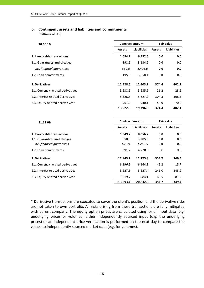# **6. Contingent assets and liabilities and commitments**

(millions of EEK)

| 30.06.10                          |               | <b>Contract amount</b> | <b>Fair value</b> |                    |  |
|-----------------------------------|---------------|------------------------|-------------------|--------------------|--|
|                                   | <b>Assets</b> | <b>Liabilities</b>     | <b>Assets</b>     | <b>Liabilities</b> |  |
| 1. Irrevocable transactions       | 1,094.2       | 6,992.6                | 0.0               | 0.0                |  |
| 1.1. Guarantees and pledges       | 898.6         | 3,134.2                | 0.0               | 0.0                |  |
| incl. financial guarantees        | 860.6         | 1,406.0                | 0.0               | 0.0                |  |
| 1.2. Loan commitments             | 195.6         | 3,858.4                | 0.0               | 0.0                |  |
| 2. Derivatives                    | 12,428.6      | 12,403.9               | 374.4             | 402.1              |  |
| 2.1. Currency related derivatives | 5,638.6       | 5,635.9                | 26.2              | 23.6               |  |
| 2.2. Interest related derivatives | 5,828.8       | 5,827.9                | 304.3             | 308.3              |  |
| 2.3. Equity related derivatives*  | 961.2         | 940.1                  | 43.9              | 70.2               |  |
|                                   | 13,522.8      | 19,396.5               | 374.4             | 402.1              |  |

| 31.12.09                          |               | <b>Contract amount</b> | <b>Fair value</b> |                    |  |
|-----------------------------------|---------------|------------------------|-------------------|--------------------|--|
|                                   | <b>Assets</b> | <b>Liabilities</b>     | Assets            | <b>Liabilities</b> |  |
| 1. Irrevocable transactions       | 1,049.7       | 8,056.7                | 0.0               | 0.0                |  |
| 1.1. Guarantees and pledges       | 658.5         | 3,285.8                | 0.0               | 0.0                |  |
| incl. financial quarantees        | 625.9         | 1,288.5                | 0.0               | 0.0                |  |
| 1.2. Loan commitments             | 391.2         | 4.770.9                | 0.0               | 0.0                |  |
| 2. Derivatives                    | 12,843.7      | 12,775.8               | 351.7             | 349.4              |  |
| 2.1. Currency related derivatives | 6,196.5       | 6,164.3                | 45.2              | 15.7               |  |
| 2.2. Interest related derivatives | 5,627.5       | 5,627.4                | 246.0             | 245.9              |  |
| 2.3. Equity related derivatives*  | 1,019.7       | 984.1                  | 60.5              | 87.8               |  |
|                                   | 13.893.4      | 20.832.5               | 351.7             | 349.4              |  |

\* Derivative transactions are executed to cover the client's position and the derivative risks are not taken to own portfolio. All risks arising from these transactions are fully mitigated with parent company. The equity option prices are calculated using for all input data (e.g. underlying prices or volumes) either independently sourced input (e.g. the underlying prices) or an independent price verification is performed on the next day to compare the values to independently sourced market data (e.g. for volumes).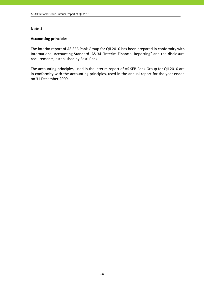# **Accounting principles**

The interim report of AS SEB Pank Group for QII 2010 has been prepared in conformity with International Accounting Standard IAS 34 "Interim Financial Reporting" and the disclosure requirements, established by Eesti Pank.

The accounting principles, used in the interim report of AS SEB Pank Group for QII 2010 are in conformity with the accounting principles, used in the annual report for the year ended on 31 December 2009.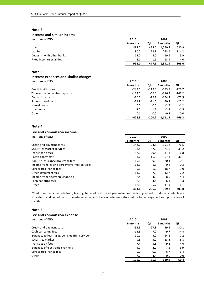#### **Interest and similar income**

(millions of EEK) **2010 2009**

|                           | 6 months | ΟII     | 6 months | QII   |
|---------------------------|----------|---------|----------|-------|
| Loans                     | 887.7    | 438.6   | 1.550.3  | 680.9 |
| Leasing                   | 90.2     | 29.9    | 258.6    | 114.2 |
| Deposits with other banks | 12.0     | 8.0     | 19.6     | 5.9   |
| Fixed income securities   | 2.1      | $1.1\,$ | 13.4     | 4.0   |
|                           | 992.0    | 477.6   | 1.841.9  | 805.0 |

#### **Note 3**

# **Interest expenses and similar charges**

(millions of EEK) **2010 2009**

|                                | 6 months | QII      | 6 months   | QII      |
|--------------------------------|----------|----------|------------|----------|
| Credit institutions            | $-243.6$ | $-119.3$ | $-583.8$   | $-226.7$ |
| Time and other saving deposits | $-134.5$ | $-56.0$  | $-316.3$   | $-142.2$ |
| Demand deposits                | $-26.0$  | $-12.7$  | $-154.7$   | $-72.5$  |
| Subordinated debts             | $-21.9$  | $-11.0$  | $-50.7$    | $-22.2$  |
| Issued bonds                   | 0.0      | 0.0      | $-2.5$     | $-1.2$   |
| Loan funds                     | $-2.7$   | $-1.2$   | $-2.9$     | $-1.5$   |
| Other                          | $-0.1$   | 0.0      | $-0.2$     | 0.0      |
|                                | $-428.8$ | $-200.2$ | $-1.111.1$ | $-466.3$ |

## **Note 4**

#### **Fee and commission income**

| (millions of EEK)                             | 2010     |       | 2009     |       |
|-----------------------------------------------|----------|-------|----------|-------|
|                                               | 6 months | QII   | 6 months | QII   |
| Credit and payment cards                      | 142.2    | 73.5  | 151.8    | 76.5  |
| Securities market services                    | 92.8     | 47.9  | 71.0     | 39.2  |
| <b>Transaction fees</b>                       | 57.0     | 29.4  | 31.3     | 16.8  |
| Credit contracts*                             | 31.7     | 16.6  | 57.4     | 30.1  |
| Non-life insurance brokerage fees             | 19.1     | 9.9   | 20.1     | 10.1  |
| Income from leasing agreements (full service) | 13.1     | 6.3   | 0.4      | 0.3   |
| Corporate Finance fees                        | 5.1      | 1.0   | 18.7     | 9.0   |
| Other settlement fees                         | 14.6     | 7.3   | 12.7     | 7.2   |
| Income from electronic channels               | 8.4      | 4.2   | 8.5      | 4.4   |
| Cash handling fees                            | 8.5      | 4.4   | 6.4      | 3.3   |
| Other                                         | 12.1     | 5.7   | 11.4     | 6.1   |
|                                               | 404.6    | 206.2 | 389.7    | 203.0 |

\*Credit contracts include loan, leasing, letter of credit and guarantee contracts signed with customers, which are short-term and do not constitute interest income, but are of administrative nature for arrangement reorganisation of credits.

#### **Note 5**

#### **Fee and commission expense**

(millions of EEK) **2010 2009**

|                                               | 6 months | QII     | 6 months | QII     |
|-----------------------------------------------|----------|---------|----------|---------|
| Credit and payment cards                      | $-53.3$  | $-27.8$ | $-59.5$  | $-30.1$ |
| Cash collecting fees                          | $-13.5$  | $-7.0$  | $-9.7$   | $-4.4$  |
| Expenses to leasing agreements (full service) | $-10.1$  | $-5.2$  | $-14.1$  | $-7.2$  |
| Securities market                             | $-9.8$   | $-5.2$  | $-13.5$  | $-6.8$  |
| <b>Transaction fees</b>                       | $-7.4$   | $-3.5$  | $-9.1$   | $-4.6$  |
| Expenses of electronic channels               | $-4.9$   | $-2.2$  | $-7.2$   | $-3.9$  |
| Corporate Finance fees                        | 0.0      | 0.0     | $-6.7$   | $-3.4$  |
| Other                                         | $-7.7$   | $-4.4$  | 0.0      | 0.0     |
|                                               | $-106.7$ | $-55.3$ | $-119.8$ | -60.4   |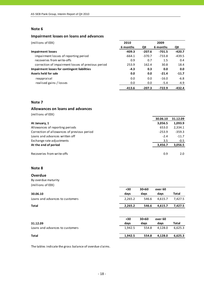# **Impairment losses on loans and advances**

| (millions of EEK)                                   | 2010     |          | 2009     |          |
|-----------------------------------------------------|----------|----------|----------|----------|
|                                                     | 6 months | QII      | 6 months | QII      |
| <b>Impairment losses</b>                            | $-409.3$ | $-207.6$ | $-701.5$ | $-420.7$ |
| impairment losses of reporting period               | $-664.1$ | $-370.7$ | $-733.8$ | $-439.5$ |
| recoveries from write-offs                          | 0.9      | 0.7      | 1.5      | 0.4      |
| correction of impairment losses of previous period  | 253.9    | 162.4    | 30.8     | 18.4     |
| <b>Impairment losses for contingent liabilities</b> | $-4.3$   | 0.3      | 0.0      | 0.0      |
| Assets held for sale                                | 0.0      | 0.0      | $-21.4$  | $-11.7$  |
| reappraisal                                         | 0.0      | 0.0      | $-16.0$  | $-6.8$   |
| realised gains / losses                             | 0.0      | 0.0      | $-5.4$   | $-4.9$   |
|                                                     | $-413.6$ | $-207.3$ | $-722.9$ | $-432.4$ |

#### **Note 7**

#### **Allowances on loans and advances**

(millions of EEK)

|                                             | 30.06.10 | 31.12.09 |
|---------------------------------------------|----------|----------|
| At January, 1                               | 3,056.5  | 1,093.9  |
| Allowances of reporting periods             | 653.0    | 2,334.1  |
| Correction of allowances of previous period | $-253.9$ | $-359.3$ |
| Loans and advances written off              | $-2.4$   | $-11.7$  |
| Exchange rate adjustments                   | 3.5      | $-0.5$   |
| At the end of period                        | 3,456.7  | 3,056.5  |
| Recoveries from write-offs                  | 0.9      | 2.0      |

# **Note 8**

#### **Overdue**

| By overdue maturity |
|---------------------|
| (millions of EEK)   |

|                                 | $30$    | 30<60 | over 60 |              |
|---------------------------------|---------|-------|---------|--------------|
| 30.06.10                        | days    | days  | days    | <b>Total</b> |
| Loans and advances to customers | 2,265.2 | 546.6 | 4,615.7 | 7,427.5      |
| <b>Total</b>                    | 2,265.2 | 546.6 | 4,615.7 | 7,427.5      |
|                                 |         |       |         |              |
|                                 | $30$    | 30<60 | over 60 |              |
| 31.12.09                        | days    | days  | days    | <b>Total</b> |
| Loans and advances to customers | 1,942.5 | 554.8 | 4,128.0 | 6,625.3      |
| <b>Total</b>                    | 1,942.5 | 554.8 | 4.128.0 | 6,625.3      |

The tables indicate the gross balance of overdue claims.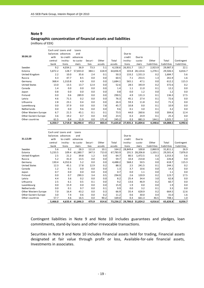# **Note 9 Geographic concentration of financial assets and liabilities**

0.0 0.0 0.0 0.0 0.0

(millions of EEK)

|                      |          | Cash and Loans and | Loans     |         |        |          |          |          |             |             |             |
|----------------------|----------|--------------------|-----------|---------|--------|----------|----------|----------|-------------|-------------|-------------|
|                      | balances | advances           | and       |         |        |          | Due to   |          |             |             |             |
| 30.06.10             | with     | to credit          | advances  |         |        |          | credit   | Due to   |             |             |             |
|                      | central  | institu-           | to custo- | Securi- | Other  | Total    | institu- | custo-   | Other       | Total       | Contingent  |
|                      | bank     | tions              | mers      | ties    | assets | assets   | tions    | mers     | liabilities | liabilities | liabilities |
| Sweden               | 9.2      | 4,034.1            | 36.9      | 73.3    | 5.1    | 4,158.6  | 26,931.7 | 131.7    | 2,923.9     | 29,987.3    | 22.1        |
| Estonia              | 5,872.2  | 128.7              | 57,833.0  | 384.1   | 618.9  | 64,836.9 | 103.8    | 28,124.6 | 1,278.1     | 29,506.5    | 6,816.7     |
| United Kingdom       | 2.2      | 10.0               | 35.6      | 2.4     | 0.1    | 50.3     | 133.2    | 1,551.3  | 0.2         | 1,684.7     | 5.6         |
| Russia               | 4.3      | 47.7               | 8.5       | 0.0     | 0.0    | 60.5     | 7.1      | 253.5    | 1.3         | 261.9       | 1.6         |
| Germany              | 368.4    | 1,310.8            | 4.9       | 0.0     | 0.0    | 1,684.1  | 565.1    | 47.1     | 0.0         | 612.2       | 115.3       |
| <b>United States</b> | 13.0     | 13.5               | 13.7      | 12.4    | 0.0    | 52.6     | 28.5     | 343.9    | 0.2         | 372.6       | 0.2         |
| Canada               | 1.4      | 0.0                | 0.0       | 0.0     | 0.0    | 1.4      | 1.1      | 11.0     | 0.1         | 12.2        | 0.0         |
| Japan                | 0.8      | 0.0                | 0.0       | 0.0     | 0.0    | 0.8      | 0.0      | 1.2      | 0.0         | 1.2         | 0.0         |
| Finland              | 0.0      | 0.6                | 289.9     | 0.0     | 0.0    | 290.5    | 4.9      | 131.3    | 0.1         | 136.3       | 17.5        |
| Latvia               | 4.6      | 71.5               | 0.2       | 0.0     | 0.0    | 76.3     | 45.1     | 27.4     | 0.1         | 72.6        | 0.0         |
| Lithuania            | 2.8      | 23.1               | 0.4       | 0.0     | 0.0    | 26.3     | 59.3     | 11.8     | 0.2         | 71.3        | 0.0         |
| Luxembourg           | 0.0      | 37.9               | 0.0       | 0.0     | 7.8    | 45.7     | 10.8     | 0.0      | 0.1         | 10.9        | 0.0         |
| Netherlands          | 0.0      | 0.0                | 9.6       | 0.0     | 0.0    | 9.6      | 0.1      | 3.0      | 0.1         | 3.2         | 0.0         |
| Other Western Europe | 6.7      | 21.5               | 45.1      | 0.1     | 0.1    | 73.5     | 44.0     | 260.6    | 0.0         | 304.6       | 12.4        |
| Other Eastern Europe | 3.6      | 19.2               | 0.7       | 0.0     | 0.0    | 23.5     | 0.3      | 24.9     | 0.1         | 25.3        | 0.0         |
| Other countries      | 61.5     | 0.4                | 11.9      | 0.0     | 171.4  | 245.2    | 0.3      | 881.3    | 144.1       | 1,025.7     | 1.2         |
|                      | 6,350.7  | 5,719.0            | 58,290.4  | 472.3   | 803.4  | 71,635.8 | 27,935.3 | 31,804.6 | 4,348.6     | 64,088.5    | 6,992.6     |

|                      |         | Cash and Loans and | Loans     |         |        |          |          |                   |             |             |             |
|----------------------|---------|--------------------|-----------|---------|--------|----------|----------|-------------------|-------------|-------------|-------------|
|                      |         | balances advances  | and       |         |        |          | Due to   |                   |             |             |             |
| 31.12.09             | with    | to credit          | advances  |         |        |          | credit   | Due to            |             |             |             |
|                      | central | institu-           | to custo- | Securi- | Other  | Total    | institu- | custo-            | Other       | Total       | Contingent  |
|                      | bank    | tions              | mers      | ties    | assets | assets   | tions    | mers              | liabilities | liabilities | liabilities |
| Sweden               | 5.6     | 9.2                | 28.3      | 111.0   | 10.1   | 164.2    | 28,849.4 | 100.8             | 2,860.9     | 31,811.1    | 26.9        |
| Estonia              | 5,233.5 | 109.4              | 61,380.7  | 347.3   | 713.0  | 67,783.9 | 191.5    | 28,206.8          | 1,103.1     | 29,501.4    | 7,876.0     |
| United Kingdom       | 2.5     | 21.2               | 39.8      | 1.2     | 0.0    | 64.7     | 80.5     | 1,472.5           | 0.3         | 1,553.3     | 5.6         |
| Russia               | 5.2     | 41.0               | 13.5      | 0.0     | 0.0    | 59.7     | 10.4     | 214.8             | 1.6         | 226.8       | 0.0         |
| Germany              | 130.4   | 4,352.6            | 5.2       | 0.0     | 0.0    | 4,488.2  | 568.2    | 50.5              | 0.0         | 618.7       | 115.3       |
| <b>United States</b> | 12.3    | 45.1               | 17.8      | 12.9    | 0.2    | 88.3     | 2.5      | 241.5             | 0.1         | 244.1       | 0.2         |
| Canada               | 1.2     | 0.1                | 0.0       | 0.0     | 0.0    | 1.3      | 3.7      | 10.6              | 0.0         | 14.3        | 0.0         |
| Japan                | 0.7     | 0.0                | 0.0       | 0.0     | 0.0    | 0.7      | 0.0      | 1.1               | 0.0         | 1.1         | 0.0         |
| Finland              | 0.0     | 0.7                | 290.3     | 3.4     | 0.5    | 294.9    | 2.6      | 120.9             | 0.2         | 123.7       | 17.5        |
| Latvia               | 4.4     | 3.6                | 0.2       | 0.0     | 0.0    | 8.2      | 25.4     | 34.4              | 3.0         | 62.8        | 0.0         |
| Lithuania            | 2.5     | 6.1                | 0.5       | 0.1     | 0.0    | 9.2      | 13.6     | 46.9              | 0.2         | 60.7        | 0.0         |
| Luxembourg           | 0.0     | 15.9               | 0.0       | 0.0     | 0.0    | 15.9     | 1.9      | 0.0               | 0.0         | 1.9         | 0.0         |
| Netherlands          | 0.0     | 0.1                | 9.7       | 0.0     | 0.1    | 9.9      | 0.0      | 3.2               | 0.1         | 3.3         | 0.0         |
| Other Western Europe | 7.0     | 16.4               | 43.2      | 0.0     | 0.3    | 66.9     | 35.4     | 628.9             | 0.2         | 664.5       | 12.6        |
| Other Eastern Europe | 3.0     | 7.4                | 0.6       | 0.0     | 0.2    | 11.2     | 0.6      | 30.0              | 0.4         | 31.0        | 1.6         |
| Other countries      | 57.7    | 4.6                | 16.5      | 0.0     | 90.2   | 169.0    | 0.3      | 661.3             | 46.5        | 708.1       | 1.0         |
|                      | 5,466.0 | 4,633.4            | 61,846.3  | 475.9   | 814.6  | 73,236.2 |          | 29,786.0 31,824.2 | 4,016.6     | 65,626.8    | 8,056.7     |

Contingent liabilities in Note 9 and Note 10 includes guarantees and pledges, loan commitments, stand‐by loans and other irrevocable transactions.

Securities in Note 9 and Note 10 includes Financial assets held for trading, Financial assets designated at fair value through profit or loss, Available‐for‐sale financial assets, Investments in associates.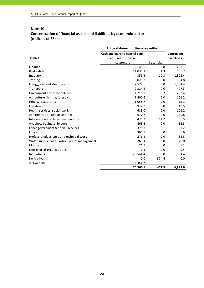# **Note 10 Concentration of financial assets and liabilities by economic sector** (millions of EEK)

|                                              | In the statement of financial position |                   |                    |
|----------------------------------------------|----------------------------------------|-------------------|--------------------|
|                                              | Cash and loans to central bank,        | Contingent        |                    |
| 30.06.10                                     | credit institutions and                |                   | <b>liabilities</b> |
|                                              | customers                              | <b>Securities</b> |                    |
| Finance                                      | 12,145.0                               | 55.8              | 262.7              |
| Real estate                                  | 11,035.1                               | 1.3               | 186.7              |
| Industry                                     | 4,359.3                                | 10.3              | 1,302.4            |
| Trading                                      | 3,029.7                                | 0.0               | 654.8              |
| Energy, gas and steam plants                 | 2,572.6                                | 0.0               | 1,054.4            |
| Transport                                    | 2,314.4                                | 0.0               | 477.3              |
| Government and state defence                 | 1,718.7                                | 0.7               | 293.4              |
| Agriculture, fishing, forestry               | 1,400.4                                | 0.0               | 121.2              |
| Hotels, restaurants                          | 1,058.7                                | 0.0               | 15.1               |
| Construction                                 | 922.3                                  | 0.0               | 943.5              |
| Health services, social work                 | 688.0                                  | 0.0               | 101.2              |
| Administration and assistance                | 677.7                                  | 0.0               | 130.8              |
| Information and telecommunication            | 475.3                                  | 14.7              | 98.5               |
| Art, show business, leisure                  | 468.8                                  | 0.0               | 32.5               |
| Other government & social services           | 378.3                                  | 15.1              | 57.2               |
| Education                                    | 361.9                                  | 0.0               | 80.6               |
| Professional, science and technical work     | 276.1                                  | 0.0               | 82.3               |
| Water supply, canalisation, waste management | 263.1                                  | 0.0               | 28.0               |
| Mining                                       | 126.9                                  | 0.0               | 8.2                |
| Exterritorial organisations                  | 0.1                                    | 0.0               | 0.4                |
| Individuals                                  | 29,544.4                               | 0.0               | 1,061.4            |
| Derivatives                                  | 0.0                                    | 374.4             | 0.0                |
| Allowances                                   | $-3,456.7$                             |                   |                    |
|                                              | 70,360.1                               | 472.3             | 6,992.6            |

#### - 20 -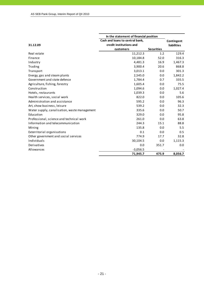|                                              | In the statement of financial position |                   |                    |
|----------------------------------------------|----------------------------------------|-------------------|--------------------|
|                                              | Cash and loans to central bank,        |                   | Contingent         |
| 31.12.09                                     | credit institutions and                |                   | <b>liabilities</b> |
|                                              | customers                              | <b>Securities</b> |                    |
| Real estate                                  | 11,212.3                               | 1.2               | 129.4              |
| Finance                                      | 10,184.8                               | 52.0              | 316.3              |
| Industry                                     | 4,481.3                                | 16.9              | 1,467.3            |
| Trading                                      | 3,900.4                                | 20.6              | 868.8              |
| Transport                                    | 3,013.1                                | 0.0               | 301.3              |
| Energy, gas and steam plants                 | 2,545.0                                | 0.0               | 1,842.2            |
| Government and state defence                 | 1,784.4                                | 0.7               | 335.5              |
| Agriculture, fishing, forestry               | 1,605.4                                | 0.0               | 75.5               |
| Construction                                 | 1,094.6                                | 0.0               | 1,027.4            |
| Hotels, restaurants                          | 1,039.3                                | 0.0               | 5.6                |
| Health services, social work                 | 822.0                                  | 0.0               | 105.6              |
| Administration and assistance                | 595.2                                  | 0.0               | 96.3               |
| Art, show business, leisure                  | 539.2                                  | 0.0               | 32.3               |
| Water supply, canalisation, waste management | 335.6                                  | 0.0               | 50.7               |
| Education                                    | 329.0                                  | 0.0               | 95.8               |
| Professional, science and technical work     | 261.0                                  | 0.0               | 63.8               |
| Information and telecommunication            | 244.3                                  | 15.1              | 88.8               |
| Mining                                       | 135.8                                  | 0.0               | 5.5                |
| Exterritorial organisations                  | 0.1                                    | 0.0               | 0.5                |
| Other government and social services         | 774.9                                  | 17.7              | 32.8               |
| Individuals                                  | 30,104.5                               | 0.0               | 1,115.3            |
| Derivatives                                  | 0.0                                    | 351.7             | 0.0                |
| Allowances                                   | $-3,056.5$                             |                   |                    |
|                                              | 71,945.7                               | 475.9             | 8,056.7            |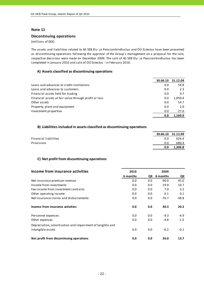#### **Discontinuing operations**

(millions of EEK)

The assets and liabilities related to AS SEB Elu‐ ja Pensionikindlustus and OÜ Estectus have been presented as discontinuing operations following the approval of the Group´s management on a proposal for the sale, respective decisions were made on December 2009. The sale of AS SEB Elu‐ ja Pensionikindlustus has been completed in January 2010 and sale of OÜ Estectus ‐ in February 2010.

#### **A) Assets classified as discontinuing operations**

|                                                       | 30.06.10 | 31.12.09 |
|-------------------------------------------------------|----------|----------|
| Loans and advances to credit institutions             | 0.0      | 54.8     |
| Loans and advances to customers                       | 0.0      | 2.3      |
| Financial assets held for trading                     | 0.0      | 9.7      |
| Financial assets at fair value through profit or loss | 0.0      | 1,050.4  |
| Other assets                                          | 0.0      | 14.7     |
| Property, plant and equipment                         | 0.0      | 2.0      |
| Investment properties                                 | 0.0      | 27.0     |
|                                                       | 0.0      | 1.160.9  |

#### **B) Liabilities included in assets classified as discontinuing operations**

|                       |     | 30.06.10 31.12.09 |
|-----------------------|-----|-------------------|
| Financial liabilities | 0.0 | 626.4             |
| Provisions            | 0.0 | 680.4             |
|                       | 0.0 | 1.306.8           |

# **C) Net profit from discontinuing operations**

| Income from insurance activities                          | 2010     |     | 2009     |         |
|-----------------------------------------------------------|----------|-----|----------|---------|
|                                                           | 6 months | QII | 6 months | QII     |
| Net insurance premium revenue                             | 0.0      | 0.0 | 90.0     | 45.0    |
| Income from investments                                   | 0.0      | 0.0 | 19.9     | 10.7    |
| Fee income from investment contracts                      | 0.0      | 0.0 | 7.0      | 3.2     |
| Other operating income                                    | 0.0      | 0.0 | 0.1      | 0.1     |
| Net insurance claims and disbursements                    | 0.0      | 0.0 | $-76.7$  | $-38.8$ |
| Income from insurance activities                          | 0.0      | 0.0 | 40.3     | 20.2    |
| Personnel expenses                                        | 0.0      | 0.0 | $-9.3$   | $-4.9$  |
| Other expenses                                            | 0.0      | 0.0 | $-4.8$   | $-1.5$  |
| Depreciation, amortisation and impairment of tangible and |          |     |          |         |
| intangible assets                                         | 0.0      | 0.0 | $-0.2$   | $-0.1$  |
| Net profit from discontinuing operations                  | 0.0      | 0.0 | 26.0     | 13.7    |